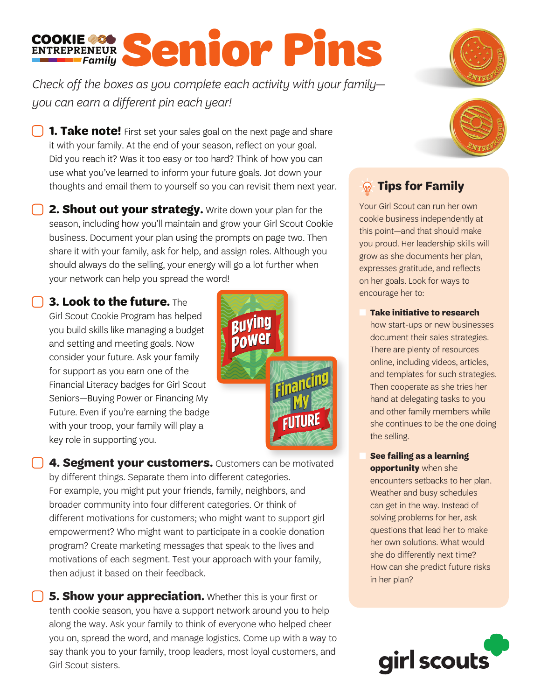## COOKIE 20 Senior Pins

*Check off the boxes as you complete each activity with your family you can earn a different pin each year!* 

**1. Take note!** First set your sales goal on the next page and share it with your family. At the end of your season, reflect on your goal. Did you reach it? Was it too easy or too hard? Think of how you can use what you've learned to inform your future goals. Jot down your thoughts and email them to yourself so you can revisit them next year.

**2. Shout out your strategy.** Write down your plan for the season, including how you'll maintain and grow your Girl Scout Cookie business. Document your plan using the prompts on page two. Then share it with your family, ask for help, and assign roles. Although you should always do the selling, your energy will go a lot further when your network can help you spread the word!

 **3. Look to the future.** The Girl Scout Cookie Program has helped you build skills like managing a budget and setting and meeting goals. Now consider your future. Ask your family for support as you earn one of the Financial Literacy badges for Girl Scout Seniors—Buying Power or Financing My Future. Even if you're earning the badge with your troop, your family will play a key role in supporting you.



**4. Segment your customers.** Customers can be motivated by different things. Separate them into different categories. For example, you might put your friends, family, neighbors, and broader community into four different categories. Or think of different motivations for customers; who might want to support girl empowerment? Who might want to participate in a cookie donation program? Create marketing messages that speak to the lives and motivations of each segment. Test your approach with your family, then adjust it based on their feedback.

**5. Show your appreciation.** Whether this is your first or tenth cookie season, you have a support network around you to help along the way. Ask your family to think of everyone who helped cheer you on, spread the word, and manage logistics. Come up with a way to say thank you to your family, troop leaders, most loyal customers, and Girl Scout sisters.





## **Tips for Family**

Your Girl Scout can run her own cookie business independently at this point—and that should make you proud. Her leadership skills will grow as she documents her plan, expresses gratitude, and reflects on her goals. Look for ways to encourage her to:

n **Take initiative to research**

how start-ups or new businesses document their sales strategies. There are plenty of resources online, including videos, articles, and templates for such strategies. Then cooperate as she tries her hand at delegating tasks to you and other family members while she continues to be the one doing the selling.

n **See failing as a learning** 

**opportunity** when she encounters setbacks to her plan. Weather and busy schedules can get in the way. Instead of solving problems for her, ask questions that lead her to make her own solutions. What would she do differently next time? How can she predict future risks in her plan?